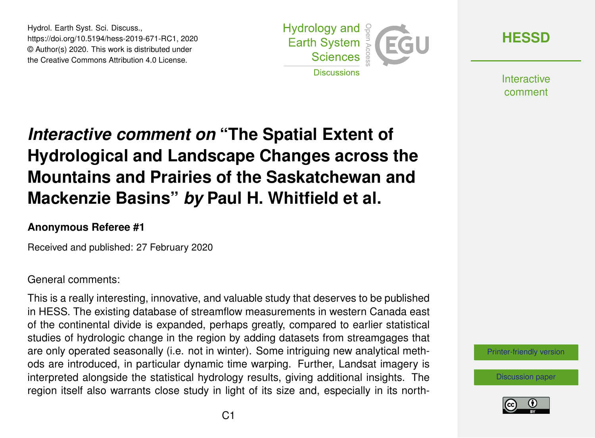Hydrol. Earth Syst. Sci. Discuss., https://doi.org/10.5194/hess-2019-671-RC1, 2020 © Author(s) 2020. This work is distributed under the Creative Commons Attribution 4.0 License.



**[HESSD](https://www.hydrol-earth-syst-sci-discuss.net/)**

**Interactive** comment

# *Interactive comment on* **"The Spatial Extent of Hydrological and Landscape Changes across the Mountains and Prairies of the Saskatchewan and Mackenzie Basins"** *by* **Paul H. Whitfield et al.**

#### **Anonymous Referee #1**

Received and published: 27 February 2020

#### General comments:

This is a really interesting, innovative, and valuable study that deserves to be published in HESS. The existing database of streamflow measurements in western Canada east of the continental divide is expanded, perhaps greatly, compared to earlier statistical studies of hydrologic change in the region by adding datasets from streamgages that are only operated seasonally (i.e. not in winter). Some intriguing new analytical methods are introduced, in particular dynamic time warping. Further, Landsat imagery is interpreted alongside the statistical hydrology results, giving additional insights. The region itself also warrants close study in light of its size and, especially in its north-

#### [Printer-friendly version](https://www.hydrol-earth-syst-sci-discuss.net/hess-2019-671/hess-2019-671-RC1-print.pdf)

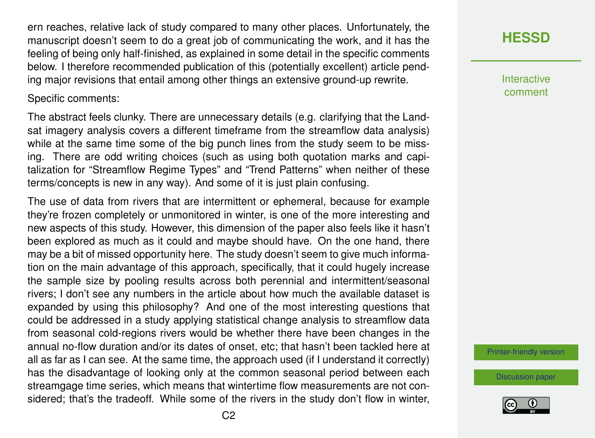ern reaches, relative lack of study compared to many other places. Unfortunately, the manuscript doesn't seem to do a great job of communicating the work, and it has the feeling of being only half-finished, as explained in some detail in the specific comments below. I therefore recommended publication of this (potentially excellent) article pending major revisions that entail among other things an extensive ground-up rewrite.

#### Specific comments:

The abstract feels clunky. There are unnecessary details (e.g. clarifying that the Landsat imagery analysis covers a different timeframe from the streamflow data analysis) while at the same time some of the big punch lines from the study seem to be missing. There are odd writing choices (such as using both quotation marks and capitalization for "Streamflow Regime Types" and "Trend Patterns" when neither of these terms/concepts is new in any way). And some of it is just plain confusing.

The use of data from rivers that are intermittent or ephemeral, because for example they're frozen completely or unmonitored in winter, is one of the more interesting and new aspects of this study. However, this dimension of the paper also feels like it hasn't been explored as much as it could and maybe should have. On the one hand, there may be a bit of missed opportunity here. The study doesn't seem to give much information on the main advantage of this approach, specifically, that it could hugely increase the sample size by pooling results across both perennial and intermittent/seasonal rivers; I don't see any numbers in the article about how much the available dataset is expanded by using this philosophy? And one of the most interesting questions that could be addressed in a study applying statistical change analysis to streamflow data from seasonal cold-regions rivers would be whether there have been changes in the annual no-flow duration and/or its dates of onset, etc; that hasn't been tackled here at all as far as I can see. At the same time, the approach used (if I understand it correctly) has the disadvantage of looking only at the common seasonal period between each streamgage time series, which means that wintertime flow measurements are not considered; that's the tradeoff. While some of the rivers in the study don't flow in winter,

# **[HESSD](https://www.hydrol-earth-syst-sci-discuss.net/)**

**Interactive** comment

[Printer-friendly version](https://www.hydrol-earth-syst-sci-discuss.net/hess-2019-671/hess-2019-671-RC1-print.pdf)

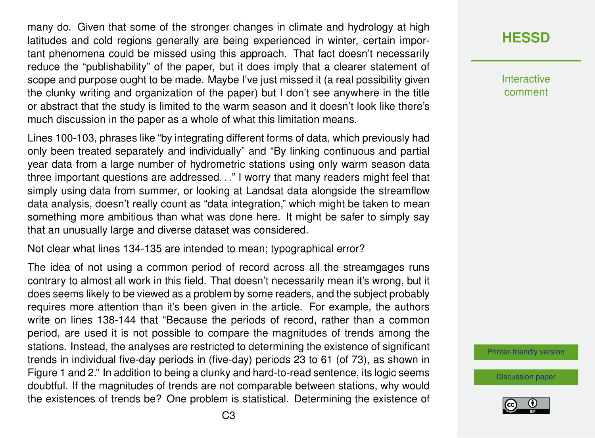many do. Given that some of the stronger changes in climate and hydrology at high latitudes and cold regions generally are being experienced in winter, certain important phenomena could be missed using this approach. That fact doesn't necessarily reduce the "publishability" of the paper, but it does imply that a clearer statement of scope and purpose ought to be made. Maybe I've just missed it (a real possibility given the clunky writing and organization of the paper) but I don't see anywhere in the title or abstract that the study is limited to the warm season and it doesn't look like there's much discussion in the paper as a whole of what this limitation means.

Lines 100-103, phrases like "by integrating different forms of data, which previously had only been treated separately and individually" and "By linking continuous and partial year data from a large number of hydrometric stations using only warm season data three important questions are addressed. . ." I worry that many readers might feel that simply using data from summer, or looking at Landsat data alongside the streamflow data analysis, doesn't really count as "data integration," which might be taken to mean something more ambitious than what was done here. It might be safer to simply say that an unusually large and diverse dataset was considered.

Not clear what lines 134-135 are intended to mean; typographical error?

The idea of not using a common period of record across all the streamgages runs contrary to almost all work in this field. That doesn't necessarily mean it's wrong, but it does seems likely to be viewed as a problem by some readers, and the subject probably requires more attention than it's been given in the article. For example, the authors write on lines 138-144 that "Because the periods of record, rather than a common period, are used it is not possible to compare the magnitudes of trends among the stations. Instead, the analyses are restricted to determining the existence of significant trends in individual five-day periods in (five-day) periods 23 to 61 (of 73), as shown in Figure 1 and 2." In addition to being a clunky and hard-to-read sentence, its logic seems doubtful. If the magnitudes of trends are not comparable between stations, why would the existences of trends be? One problem is statistical. Determining the existence of **[HESSD](https://www.hydrol-earth-syst-sci-discuss.net/)**

**Interactive** comment

[Printer-friendly version](https://www.hydrol-earth-syst-sci-discuss.net/hess-2019-671/hess-2019-671-RC1-print.pdf)

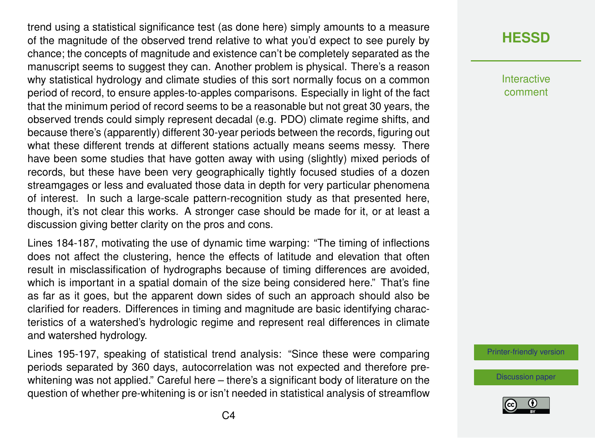trend using a statistical significance test (as done here) simply amounts to a measure of the magnitude of the observed trend relative to what you'd expect to see purely by chance; the concepts of magnitude and existence can't be completely separated as the manuscript seems to suggest they can. Another problem is physical. There's a reason why statistical hydrology and climate studies of this sort normally focus on a common period of record, to ensure apples-to-apples comparisons. Especially in light of the fact that the minimum period of record seems to be a reasonable but not great 30 years, the observed trends could simply represent decadal (e.g. PDO) climate regime shifts, and because there's (apparently) different 30-year periods between the records, figuring out what these different trends at different stations actually means seems messy. There have been some studies that have gotten away with using (slightly) mixed periods of records, but these have been very geographically tightly focused studies of a dozen streamgages or less and evaluated those data in depth for very particular phenomena of interest. In such a large-scale pattern-recognition study as that presented here, though, it's not clear this works. A stronger case should be made for it, or at least a discussion giving better clarity on the pros and cons.

Lines 184-187, motivating the use of dynamic time warping: "The timing of inflections does not affect the clustering, hence the effects of latitude and elevation that often result in misclassification of hydrographs because of timing differences are avoided, which is important in a spatial domain of the size being considered here." That's fine as far as it goes, but the apparent down sides of such an approach should also be clarified for readers. Differences in timing and magnitude are basic identifying characteristics of a watershed's hydrologic regime and represent real differences in climate and watershed hydrology.

Lines 195-197, speaking of statistical trend analysis: "Since these were comparing periods separated by 360 days, autocorrelation was not expected and therefore prewhitening was not applied." Careful here – there's a significant body of literature on the question of whether pre-whitening is or isn't needed in statistical analysis of streamflow

# **[HESSD](https://www.hydrol-earth-syst-sci-discuss.net/)**

Interactive comment

[Printer-friendly version](https://www.hydrol-earth-syst-sci-discuss.net/hess-2019-671/hess-2019-671-RC1-print.pdf)

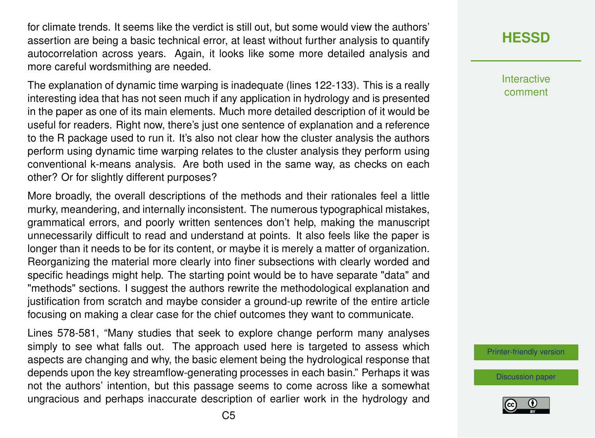for climate trends. It seems like the verdict is still out, but some would view the authors' assertion are being a basic technical error, at least without further analysis to quantify autocorrelation across years. Again, it looks like some more detailed analysis and more careful wordsmithing are needed.

The explanation of dynamic time warping is inadequate (lines 122-133). This is a really interesting idea that has not seen much if any application in hydrology and is presented in the paper as one of its main elements. Much more detailed description of it would be useful for readers. Right now, there's just one sentence of explanation and a reference to the R package used to run it. It's also not clear how the cluster analysis the authors perform using dynamic time warping relates to the cluster analysis they perform using conventional k-means analysis. Are both used in the same way, as checks on each other? Or for slightly different purposes?

More broadly, the overall descriptions of the methods and their rationales feel a little murky, meandering, and internally inconsistent. The numerous typographical mistakes, grammatical errors, and poorly written sentences don't help, making the manuscript unnecessarily difficult to read and understand at points. It also feels like the paper is longer than it needs to be for its content, or maybe it is merely a matter of organization. Reorganizing the material more clearly into finer subsections with clearly worded and specific headings might help. The starting point would be to have separate "data" and "methods" sections. I suggest the authors rewrite the methodological explanation and justification from scratch and maybe consider a ground-up rewrite of the entire article focusing on making a clear case for the chief outcomes they want to communicate.

Lines 578-581, "Many studies that seek to explore change perform many analyses simply to see what falls out. The approach used here is targeted to assess which aspects are changing and why, the basic element being the hydrological response that depends upon the key streamflow-generating processes in each basin." Perhaps it was not the authors' intention, but this passage seems to come across like a somewhat ungracious and perhaps inaccurate description of earlier work in the hydrology and

# **[HESSD](https://www.hydrol-earth-syst-sci-discuss.net/)**

**Interactive** comment

[Printer-friendly version](https://www.hydrol-earth-syst-sci-discuss.net/hess-2019-671/hess-2019-671-RC1-print.pdf)

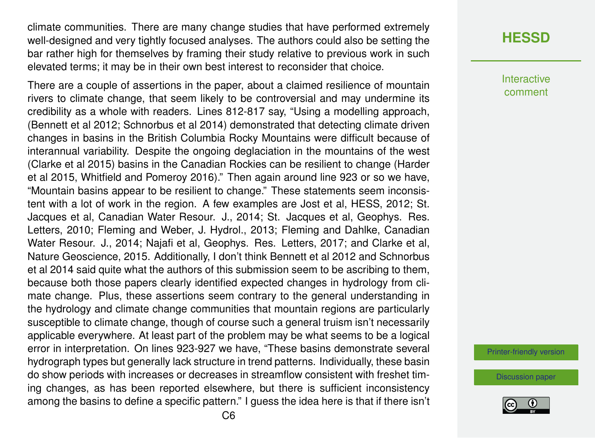climate communities. There are many change studies that have performed extremely well-designed and very tightly focused analyses. The authors could also be setting the bar rather high for themselves by framing their study relative to previous work in such elevated terms; it may be in their own best interest to reconsider that choice.

There are a couple of assertions in the paper, about a claimed resilience of mountain rivers to climate change, that seem likely to be controversial and may undermine its credibility as a whole with readers. Lines 812-817 say, "Using a modelling approach, (Bennett et al 2012; Schnorbus et al 2014) demonstrated that detecting climate driven changes in basins in the British Columbia Rocky Mountains were difficult because of interannual variability. Despite the ongoing deglaciation in the mountains of the west (Clarke et al 2015) basins in the Canadian Rockies can be resilient to change (Harder et al 2015, Whitfield and Pomeroy 2016)." Then again around line 923 or so we have, "Mountain basins appear to be resilient to change." These statements seem inconsistent with a lot of work in the region. A few examples are Jost et al, HESS, 2012; St. Jacques et al, Canadian Water Resour. J., 2014; St. Jacques et al, Geophys. Res. Letters, 2010; Fleming and Weber, J. Hydrol., 2013; Fleming and Dahlke, Canadian Water Resour. J., 2014; Najafi et al, Geophys. Res. Letters, 2017; and Clarke et al, Nature Geoscience, 2015. Additionally, I don't think Bennett et al 2012 and Schnorbus et al 2014 said quite what the authors of this submission seem to be ascribing to them, because both those papers clearly identified expected changes in hydrology from climate change. Plus, these assertions seem contrary to the general understanding in the hydrology and climate change communities that mountain regions are particularly susceptible to climate change, though of course such a general truism isn't necessarily applicable everywhere. At least part of the problem may be what seems to be a logical error in interpretation. On lines 923-927 we have, "These basins demonstrate several hydrograph types but generally lack structure in trend patterns. Individually, these basin do show periods with increases or decreases in streamflow consistent with freshet timing changes, as has been reported elsewhere, but there is sufficient inconsistency among the basins to define a specific pattern." I guess the idea here is that if there isn't

#### **[HESSD](https://www.hydrol-earth-syst-sci-discuss.net/)**

Interactive comment

[Printer-friendly version](https://www.hydrol-earth-syst-sci-discuss.net/hess-2019-671/hess-2019-671-RC1-print.pdf)

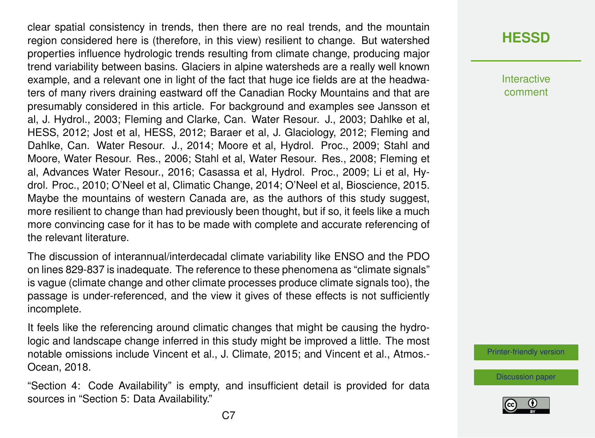clear spatial consistency in trends, then there are no real trends, and the mountain region considered here is (therefore, in this view) resilient to change. But watershed properties influence hydrologic trends resulting from climate change, producing major trend variability between basins. Glaciers in alpine watersheds are a really well known example, and a relevant one in light of the fact that huge ice fields are at the headwaters of many rivers draining eastward off the Canadian Rocky Mountains and that are presumably considered in this article. For background and examples see Jansson et al, J. Hydrol., 2003; Fleming and Clarke, Can. Water Resour. J., 2003; Dahlke et al, HESS, 2012; Jost et al, HESS, 2012; Baraer et al, J. Glaciology, 2012; Fleming and Dahlke, Can. Water Resour. J., 2014; Moore et al, Hydrol. Proc., 2009; Stahl and Moore, Water Resour. Res., 2006; Stahl et al, Water Resour. Res., 2008; Fleming et al, Advances Water Resour., 2016; Casassa et al, Hydrol. Proc., 2009; Li et al, Hydrol. Proc., 2010; O'Neel et al, Climatic Change, 2014; O'Neel et al, Bioscience, 2015. Maybe the mountains of western Canada are, as the authors of this study suggest, more resilient to change than had previously been thought, but if so, it feels like a much more convincing case for it has to be made with complete and accurate referencing of the relevant literature.

The discussion of interannual/interdecadal climate variability like ENSO and the PDO on lines 829-837 is inadequate. The reference to these phenomena as "climate signals" is vague (climate change and other climate processes produce climate signals too), the passage is under-referenced, and the view it gives of these effects is not sufficiently incomplete.

It feels like the referencing around climatic changes that might be causing the hydrologic and landscape change inferred in this study might be improved a little. The most notable omissions include Vincent et al., J. Climate, 2015; and Vincent et al., Atmos.- Ocean, 2018.

"Section 4: Code Availability" is empty, and insufficient detail is provided for data sources in "Section 5: Data Availability."

#### **[HESSD](https://www.hydrol-earth-syst-sci-discuss.net/)**

**Interactive** comment

[Printer-friendly version](https://www.hydrol-earth-syst-sci-discuss.net/hess-2019-671/hess-2019-671-RC1-print.pdf)